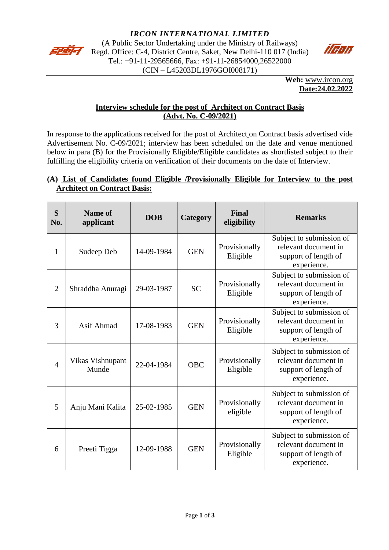

(A Public Sector Undertaking under the Ministry of Railways) Regd. Office: C-4, District Centre, Saket, New Delhi-110 017 (India) Tel.: +91-11-29565666, Fax: +91-11-26854000,26522000 (CIN – L45203DL1976GOI008171)



**Web:** [www.ircon.org](http://www.ircon.org/) **Date:24.02.2022**

### **Interview schedule for the post of Architect on Contract Basis (Advt. No. C-09/2021)**

In response to the applications received for the post of Architect on Contract basis advertised vide Advertisement No. C-09/2021; interview has been scheduled on the date and venue mentioned below in para (B) for the Provisionally Eligible/Eligible candidates as shortlisted subject to their fulfilling the eligibility criteria on verification of their documents on the date of Interview.

# **(A) List of Candidates found Eligible /Provisionally Eligible for Interview to the post Architect on Contract Basis:**

| S<br>No.       | <b>Name of</b><br>applicant | <b>DOB</b> | Category   | <b>Final</b><br>eligibility | <b>Remarks</b>                                                                          |
|----------------|-----------------------------|------------|------------|-----------------------------|-----------------------------------------------------------------------------------------|
| 1              | Sudeep Deb                  | 14-09-1984 | <b>GEN</b> | Provisionally<br>Eligible   | Subject to submission of<br>relevant document in<br>support of length of<br>experience. |
| $\overline{2}$ | Shraddha Anuragi            | 29-03-1987 | <b>SC</b>  | Provisionally<br>Eligible   | Subject to submission of<br>relevant document in<br>support of length of<br>experience. |
| 3              | Asif Ahmad                  | 17-08-1983 | <b>GEN</b> | Provisionally<br>Eligible   | Subject to submission of<br>relevant document in<br>support of length of<br>experience. |
| $\overline{4}$ | Vikas Vishnupant<br>Munde   | 22-04-1984 | <b>OBC</b> | Provisionally<br>Eligible   | Subject to submission of<br>relevant document in<br>support of length of<br>experience. |
| 5              | Anju Mani Kalita            | 25-02-1985 | <b>GEN</b> | Provisionally<br>eligible   | Subject to submission of<br>relevant document in<br>support of length of<br>experience. |
| 6              | Preeti Tigga                | 12-09-1988 | <b>GEN</b> | Provisionally<br>Eligible   | Subject to submission of<br>relevant document in<br>support of length of<br>experience. |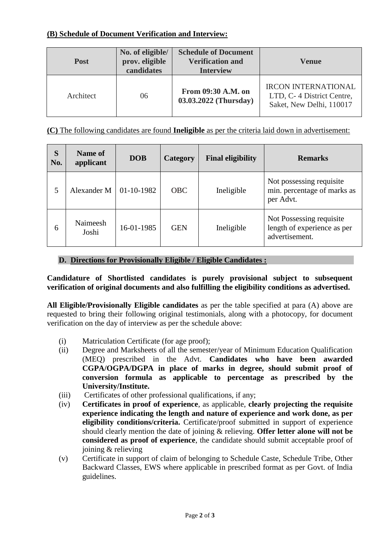## **(B) Schedule of Document Verification and Interview:**

| <b>Post</b> | No. of eligible/<br>prov. eligible<br>candidates | <b>Schedule of Document</b><br><b>Verification and</b><br><b>Interview</b> | <b>Venue</b>                                                                        |
|-------------|--------------------------------------------------|----------------------------------------------------------------------------|-------------------------------------------------------------------------------------|
| Architect   | 06                                               | From 09:30 A.M. on<br>03.03.2022 (Thursday)                                | <b>IRCON INTERNATIONAL</b><br>LTD, C-4 District Centre,<br>Saket, New Delhi, 110017 |

**(C)** The following candidates are found **Ineligible** as per the criteria laid down in advertisement:

| S<br>No. | Name of<br>applicant | <b>DOB</b> | Category   | <b>Final eligibility</b> | <b>Remarks</b>                                                            |
|----------|----------------------|------------|------------|--------------------------|---------------------------------------------------------------------------|
| 5        | Alexander M          | 01-10-1982 | <b>OBC</b> | Ineligible               | Not possessing requisite.<br>min. percentage of marks as<br>per Advt.     |
| 6        | Naimeesh<br>Joshi    | 16-01-1985 | <b>GEN</b> | Ineligible               | Not Possessing requisite<br>length of experience as per<br>advertisement. |

## **D. Directions for Provisionally Eligible / Eligible Candidates :**

**Candidature of Shortlisted candidates is purely provisional subject to subsequent verification of original documents and also fulfilling the eligibility conditions as advertised.** 

**All Eligible/Provisionally Eligible candidates** as per the table specified at para (A) above are requested to bring their following original testimonials, along with a photocopy, for document verification on the day of interview as per the schedule above:

- (i) Matriculation Certificate (for age proof);
- (ii) Degree and Marksheets of all the semester/year of Minimum Education Qualification (MEQ) prescribed in the Advt. **Candidates who have been awarded CGPA/OGPA/DGPA in place of marks in degree, should submit proof of conversion formula as applicable to percentage as prescribed by the University/Institute.**
- (iii) Certificates of other professional qualifications, if any;
- (iv) **Certificates in proof of experience**, as applicable, **clearly projecting the requisite experience indicating the length and nature of experience and work done, as per eligibility conditions/criteria.** Certificate/proof submitted in support of experience should clearly mention the date of joining & relieving. **Offer letter alone will not be considered as proof of experience**, the candidate should submit acceptable proof of joining & relieving
- (v) Certificate in support of claim of belonging to Schedule Caste, Schedule Tribe, Other Backward Classes, EWS where applicable in prescribed format as per Govt. of India guidelines.